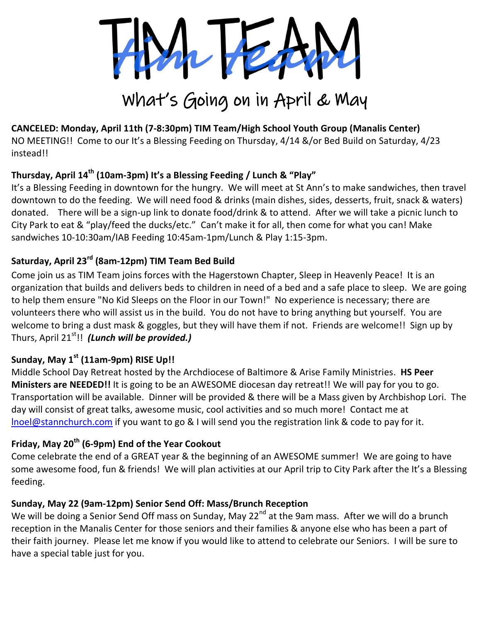

# What's Going on in April & May

# **CANCELED: Monday, April 11th (7-8:30pm) TIM Team/High School Youth Group (Manalis Center)**

NO MEETING!! Come to our It's a Blessing Feeding on Thursday, 4/14 &/or Bed Build on Saturday, 4/23 instead!!

# **Thursday, April 14th (10am-3pm) It's a Blessing Feeding / Lunch & "Play"**

It's a Blessing Feeding in downtown for the hungry. We will meet at St Ann's to make sandwiches, then travel downtown to do the feeding. We will need food & drinks (main dishes, sides, desserts, fruit, snack & waters) donated. There will be a sign-up link to donate food/drink & to attend. After we will take a picnic lunch to City Park to eat & "play/feed the ducks/etc." Can't make it for all, then come for what you can! Make sandwiches 10-10:30am/IAB Feeding 10:45am-1pm/Lunch & Play 1:15-3pm.

# **Saturday, April 23rd (8am-12pm) TIM Team Bed Build**

Come join us as TIM Team joins forces with the Hagerstown Chapter, Sleep in Heavenly Peace! It is an organization that builds and delivers beds to children in need of a bed and a safe place to sleep. We are going to help them ensure "No Kid Sleeps on the Floor in our Town!" No experience is necessary; there are volunteers there who will assist us in the build. You do not have to bring anything but yourself. You are welcome to bring a dust mask & goggles, but they will have them if not. Friends are welcome!! Sign up by Thurs, April 21st!! *(Lunch will be provided.)*

### **Sunday, May 1st (11am-9pm) RISE Up!!**

Middle School Day Retreat hosted by the Archdiocese of Baltimore & Arise Family Ministries. **HS Peer Ministers are NEEDED!!** It is going to be an AWESOME diocesan day retreat!! We will pay for you to go. Transportation will be available. Dinner will be provided & there will be a Mass given by Archbishop Lori. The day will consist of great talks, awesome music, cool activities and so much more! Contact me at [lnoel@stannchurch.com](mailto:lnoel@stannchurch.com) if you want to go & I will send you the registration link & code to pay for it.

# **Friday, May 20th (6-9pm) End of the Year Cookout**

Come celebrate the end of a GREAT year & the beginning of an AWESOME summer! We are going to have some awesome food, fun & friends! We will plan activities at our April trip to City Park after the It's a Blessing feeding.

#### **Sunday, May 22 (9am-12pm) Senior Send Off: Mass/Brunch Reception**

We will be doing a Senior Send Off mass on Sunday, May 22<sup>nd</sup> at the 9am mass. After we will do a brunch reception in the Manalis Center for those seniors and their families & anyone else who has been a part of their faith journey. Please let me know if you would like to attend to celebrate our Seniors. I will be sure to have a special table just for you.